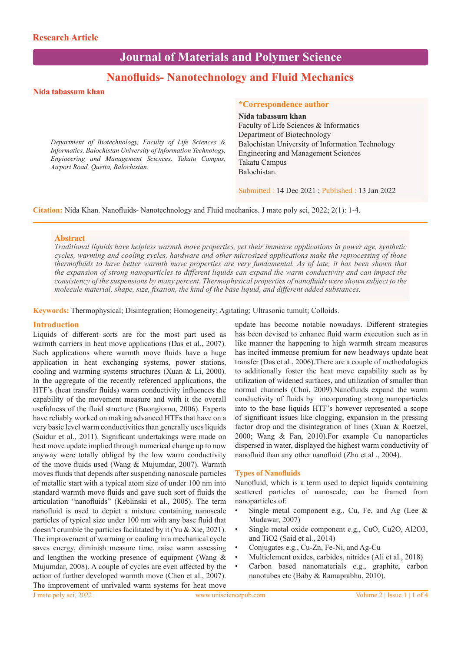# **Journal of Materials and Polymer Science**

## **Nanofluids- Nanotechnology and Fluid Mechanics**

## **Nida tabassum khan**

*Department of Biotechnology, Faculty of Life Sciences & Informatics, Balochistan University of Information Technology, Engineering and Management Sciences, Takatu Campus, Airport Road, Quetta, Balochistan.*

## **\*Correspondence author**

**Nida tabassum khan** Faculty of Life Sciences & Informatics Department of Biotechnology Balochistan University of Information Technology Engineering and Management Sciences Takatu Campus Balochistan.

Submitted : 14 Dec 2021 ; Published : 13 Jan 2022

**Citation:** Nida Khan. Nanofluids- Nanotechnology and Fluid mechanics. J mate poly sci, 2022; 2(1): 1-4.

### **Abstract**

*Traditional liquids have helpless warmth move properties, yet their immense applications in power age, synthetic cycles, warming and cooling cycles, hardware and other microsized applications make the reprocessing of those thermofluids to have better warmth move properties are very fundamental. As of late, it has been shown that the expansion of strong nanoparticles to different liquids can expand the warm conductivity and can impact the consistency of the suspensions by many percent. Thermophysical properties of nanofluids were shown subject to the molecule material, shape, size, fixation, the kind of the base liquid, and different added substances.*

**Keywords:** Thermophysical; Disintegration; Homogeneity; Agitating; Ultrasonic tumult; Colloids.

### **Introduction**

Liquids of different sorts are for the most part used as warmth carriers in heat move applications (Das et al., 2007). Such applications where warmth move fluids have a huge application in heat exchanging systems, power stations, cooling and warming systems structures (Xuan & Li, 2000). In the aggregate of the recently referenced applications, the HTF's (heat transfer fluids) warm conductivity influences the capability of the movement measure and with it the overall usefulness of the fluid structure (Buongiorno, 2006). Experts have reliably worked on making advanced HTFs that have on a very basic level warm conductivities than generally uses liquids (Saidur et al., 2011). Significant undertakings were made on heat move update implied through numerical change up to now anyway were totally obliged by the low warm conductivity of the move fluids used (Wang & Mujumdar, 2007). Warmth moves fluids that depends after suspending nanoscale particles of metallic start with a typical atom size of under 100 nm into standard warmth move fluids and gave such sort of fluids the articulation "nanofluids" (Keblinski et al., 2005). The term nanofluid is used to depict a mixture containing nanoscale particles of typical size under 100 nm with any base fluid that doesn't crumble the particles facilitated by it (Yu & Xie, 2021). The improvement of warming or cooling in a mechanical cycle saves energy, diminish measure time, raise warm assessing and lengthen the working presence of equipment (Wang & Mujumdar, 2008). A couple of cycles are even affected by the action of further developed warmth move (Chen et al., 2007). The improvement of unrivaled warm systems for heat move

update has become notable nowadays. Different strategies has been devised to enhance fluid warm execution such as in like manner the happening to high warmth stream measures has incited immense premium for new headways update heat transfer (Das et al., 2006).There are a couple of methodologies to additionally foster the heat move capability such as by utilization of widened surfaces, and utilization of smaller than normal channels (Choi, 2009).Nanofluids expand the warm conductivity of fluids by incorporating strong nanoparticles into to the base liquids HTF's however represented a scope of significant issues like clogging, expansion in the pressing factor drop and the disintegration of lines (Xuan & Roetzel, 2000; Wang & Fan, 2010).For example Cu nanoparticles dispersed in water, displayed the highest warm conductivity of nanofluid than any other nanofluid (Zhu et al ., 2004).

#### **Types of Nanofluids**

Nanofluid, which is a term used to depict liquids containing scattered particles of nanoscale, can be framed from nanoparticles of:

- Single metal component e.g., Cu, Fe, and Ag (Lee & Mudawar, 2007)
- Single metal oxide component e.g., CuO, Cu2O, Al2O3, and TiO2 (Said et al., 2014)
- Conjugates e.g., Cu-Zn, Fe-Ni, and Ag-Cu
- Multielement oxides, carbides, nitrides (Ali et al., 2018)
- Carbon based nanomaterials e.g., graphite, carbon nanotubes etc (Baby & Ramaprabhu, 2010).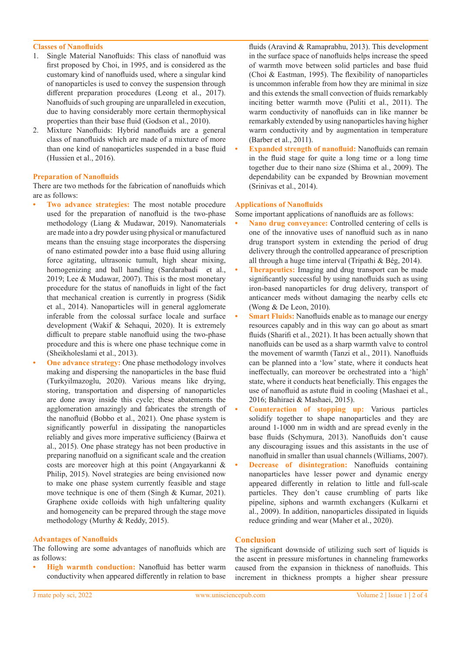## **Classes of Nanofluids**

- 1. Single Material Nanofluids: This class of nanofluid was first proposed by Choi, in 1995, and is considered as the customary kind of nanofluids used, where a singular kind of nanoparticles is used to convey the suspension through different preparation procedures (Leong et al., 2017). Nanofluids of such grouping are unparalleled in execution, due to having considerably more certain thermophysical properties than their base fluid (Godson et al., 2010).
- 2. Mixture Nanofluids: Hybrid nanofluids are a general class of nanofluids which are made of a mixture of more than one kind of nanoparticles suspended in a base fluid (Hussien et al., 2016).

### **Preparation of Nanofluids**

There are two methods for the fabrication of nanofluids which are as follows:

- **• Two advance strategies:** The most notable procedure used for the preparation of nanofluid is the two-phase methodology (Liang & Mudawar, 2019). Nanomaterials are made into a dry powder using physical or manufactured means than the ensuing stage incorporates the dispersing of nano estimated powder into a base fluid using alluring force agitating, ultrasonic tumult, high shear mixing, homogenizing and ball handling (Sardarabadi et al., 2019; Lee & Mudawar, 2007). This is the most monetary procedure for the status of nanofluids in light of the fact that mechanical creation is currently in progress (Sidik et al., 2014). Nanoparticles will in general agglomerate inferable from the colossal surface locale and surface development (Wakif & Sehaqui, 2020). It is extremely difficult to prepare stable nanofluid using the two-phase procedure and this is where one phase technique come in (Sheikholeslami et al., 2013).
- **One advance strategy:** One phase methodology involves making and dispersing the nanoparticles in the base fluid (Turkyilmazoglu, 2020). Various means like drying, storing, transportation and dispersing of nanoparticles are done away inside this cycle; these abatements the agglomeration amazingly and fabricates the strength of the nanofluid (Bobbo et al., 2021). One phase system is significantly powerful in dissipating the nanoparticles reliably and gives more imperative sufficiency (Bairwa et al., 2015). One phase strategy has not been productive in preparing nanofluid on a significant scale and the creation costs are moreover high at this point (Angayarkanni & Philip, 2015). Novel strategies are being envisioned now to make one phase system currently feasible and stage move technique is one of them (Singh & Kumar, 2021). Graphene oxide colloids with high unfaltering quality and homogeneity can be prepared through the stage move methodology (Murthy & Reddy, 2015).

#### **Advantages of Nanofluids**

The following are some advantages of nanofluids which are as follows:

**• High warmth conduction:** Nanofluid has better warm conductivity when appeared differently in relation to base fluids (Aravind & Ramaprabhu, 2013). This development in the surface space of nanofluids helps increase the speed of warmth move between solid particles and base fluid (Choi & Eastman, 1995). The flexibility of nanoparticles is uncommon inferable from how they are minimal in size and this extends the small convection of fluids remarkably inciting better warmth move (Puliti et al., 2011). The warm conductivity of nanofluids can in like manner be remarkably extended by using nanoparticles having higher warm conductivity and by augmentation in temperature (Barber et al., 2011).

**• Expanded strength of nanofluid:** Nanofluids can remain in the fluid stage for quite a long time or a long time together due to their nano size (Shima et al., 2009). The dependability can be expanded by Brownian movement (Srinivas et al., 2014).

#### **Applications of Nanofluids**

- Some important applications of nanofluids are as follows:
- **• Nano drug conveyance:** Controlled centering of cells is one of the innovative uses of nanofluid such as in nano drug transport system in extending the period of drug delivery through the controlled appearance of prescription all through a huge time interval (Tripathi & Bég, 2014).
- **• Therapeutics:** Imaging and drug transport can be made significantly successful by using nanofluids such as using iron-based nanoparticles for drug delivery, transport of anticancer meds without damaging the nearby cells etc (Wong & De Leon, 2010).
- **• Smart Fluids:** Nanofluids enable as to manage our energy resources capably and in this way can go about as smart fluids (Sharifi et al., 2021). It has been actually shown that nanofluids can be used as a sharp warmth valve to control the movement of warmth (Tanzi et al., 2011). Nanofluids can be planned into a 'low' state, where it conducts heat ineffectually, can moreover be orchestrated into a 'high' state, where it conducts heat beneficially. This engages the use of nanofluid as astute fluid in cooling (Mashaei et al., 2016; Bahiraei & Mashaei, 2015).
- **• Counteraction of stopping up:** Various particles solidify together to shape nanoparticles and they are around 1-1000 nm in width and are spread evenly in the base fluids (Schymura, 2013). Nanofluids don't cause any discouraging issues and this assistants in the use of nanofluid in smaller than usual channels (Williams, 2007).
- **• Decrease of disintegration:** Nanofluids containing nanoparticles have lesser power and dynamic energy appeared differently in relation to little and full-scale particles. They don't cause crumbling of parts like pipeline, siphons and warmth exchangers (Kulkarni et al., 2009). In addition, nanoparticles dissipated in liquids reduce grinding and wear (Maher et al., 2020).

## **Conclusion**

The significant downside of utilizing such sort of liquids is the ascent in pressure misfortunes in channeling frameworks caused from the expansion in thickness of nanofluids. This increment in thickness prompts a higher shear pressure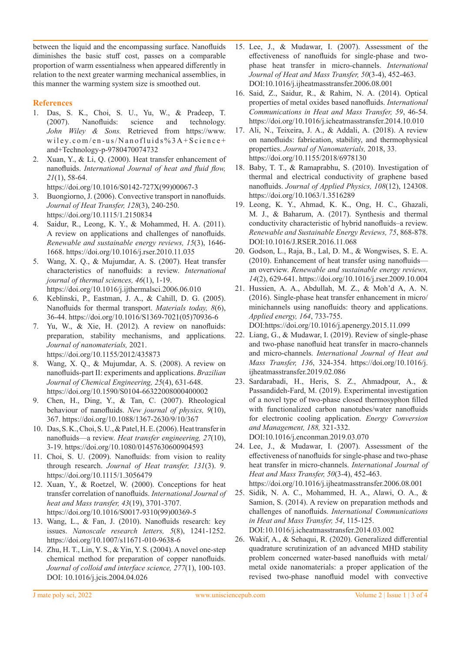between the liquid and the encompassing surface. Nanofluids diminishes the basic stuff cost, passes on a comparable proportion of warm essentialness when appeared differently in relation to the next greater warming mechanical assemblies, in this manner the warming system size is smoothed out.

## **References**

- 1. Das, S. K., Choi, S. U., Yu, W., & Pradeep, T. (2007). Nanofluids: science and technology. *John Wiley & Sons.* Retrieved from https://www. wiley.com/en-us/Nanofluids% $3A+Sci$ ence+ and+Technology-p-9780470074732
- 2. Xuan, Y., & Li, Q. (2000). Heat transfer enhancement of nanofluids. *International Journal of heat and fluid flow, 21*(1), 58-64.
- https://doi.org/10.1016/S0142-727X(99)00067-3 3. Buongiorno, J. (2006). Convective transport in nanofluids. *Journal of Heat Transfer, 128*(3), 240-250.
- https://doi.org/10.1115/1.2150834
- 4. Saidur, R., Leong, K. Y., & Mohammed, H. A. (2011). A review on applications and challenges of nanofluids. *Renewable and sustainable energy reviews, 15*(3), 1646- 1668. https://doi.org/10.1016/j.rser.2010.11.035
- 5. Wang, X. Q., & Mujumdar, A. S. (2007). Heat transfer characteristics of nanofluids: a review. *International journal of thermal sciences, 46*(1), 1-19. https://doi.org/10.1016/j.ijthermalsci.2006.06.010
- 6. Keblinski, P., Eastman, J. A., & Cahill, D. G. (2005). Nanofluids for thermal transport. *Materials today, 8*(6), 36-44. https://doi.org/10.1016/S1369-7021(05)70936-6
- 7. Yu, W., & Xie, H. (2012). A review on nanofluids: preparation, stability mechanisms, and applications. *Journal of nanomaterials,* 2021. https://doi.org/10.1155/2012/435873
- 8. Wang, X. Q., & Mujumdar, A. S. (2008). A review on nanofluids-part II: experiments and applications. *Brazilian Journal of Chemical Engineering, 25*(4), 631-648. https://doi.org/10.1590/S0104-66322008000400002
- 9. Chen, H., Ding, Y., & Tan, C. (2007). Rheological behaviour of nanofluids. *New journal of physics, 9*(10), 367. https://doi.org/10.1088/1367-2630/9/10/367
- 10. Das, S. K., Choi, S. U., & Patel, H. E. (2006). Heat transfer in nanofluids—a review. *Heat transfer engineering, 27*(10), 3-19. https://doi.org/10.1080/01457630600904593
- 11. Choi, S. U. (2009). Nanofluids: from vision to reality through research. *Journal of Heat transfer, 131*(3). 9. https://doi.org/10.1115/1.3056479
- 12. Xuan, Y., & Roetzel, W. (2000). Conceptions for heat transfer correlation of nanofluids. *International Journal of heat and Mass transfer, 43*(19), 3701-3707. https://doi.org/10.1016/S0017-9310(99)00369-5
- 13. Wang, L., & Fan, J. (2010). Nanofluids research: key issues. *Nanoscale research letters, 5*(8), 1241-1252. https://doi.org/10.1007/s11671-010-9638-6
- 14. Zhu, H. T., Lin, Y. S., & Yin, Y. S. (2004). A novel one-step chemical method for preparation of copper nanofluids. *Journal of colloid and interface science, 277*(1), 100-103. DOI: 10.1016/j.jcis.2004.04.026
- 15. Lee, J., & Mudawar, I. (2007). Assessment of the effectiveness of nanofluids for single-phase and twophase heat transfer in micro-channels. *International Journal of Heat and Mass Transfer, 50*(3-4), 452-463. DOI:10.1016/j.ijheatmasstransfer.2006.08.001
- 16. Said, Z., Saidur, R., & Rahim, N. A. (2014). Optical properties of metal oxides based nanofluids. *International Communications in Heat and Mass Transfer, 59*, 46-54. https://doi.org/10.1016/j.icheatmasstransfer.2014.10.010
- 17. Ali, N., Teixeira, J. A., & Addali, A. (2018). A review on nanofluids: fabrication, stability, and thermophysical properties. *Journal of Nanomaterials,* 2018, 33. https://doi.org/10.1155/2018/6978130
- 18. Baby, T. T., & Ramaprabhu, S. (2010). Investigation of thermal and electrical conductivity of graphene based nanofluids. *Journal of Applied Physics, 108*(12), 124308. https://doi.org/10.1063/1.3516289
- 19. Leong, K. Y., Ahmad, K. K., Ong, H. C., Ghazali, M. J., & Baharum, A. (2017). Synthesis and thermal conductivity characteristic of hybrid nanofluids–a review. *Renewable and Sustainable Energy Reviews, 75*, 868-878. DOI:10.1016/J.RSER.2016.11.068
- 20. Godson, L., Raja, B., Lal, D. M., & Wongwises, S. E. A. (2010). Enhancement of heat transfer using nanofluids an overview. *Renewable and sustainable energy reviews, 14*(2), 629-641. https://doi.org/10.1016/j.rser.2009.10.004
- 21. Hussien, A. A., Abdullah, M. Z., & Moh'd A, A. N. (2016). Single-phase heat transfer enhancement in micro/ minichannels using nanofluids: theory and applications. *Applied energy, 164*, 733-755. DOI:https://doi.org/10.1016/j.apenergy.2015.11.099
- 22. Liang, G., & Mudawar, I. (2019). Review of single-phase and two-phase nanofluid heat transfer in macro-channels and micro-channels. *International Journal of Heat and Mass Transfer, 136*, 324-354. https://doi.org/10.1016/j. ijheatmasstransfer.2019.02.086
- 23. Sardarabadi, H., Heris, S. Z., Ahmadpour, A., & Passandideh-Fard, M. (2019). Experimental investigation of a novel type of two-phase closed thermosyphon filled with functionalized carbon nanotubes/water nanofluids for electronic cooling application. *Energy Conversion and Management, 188,* 321-332. DOI:10.1016/j.enconman.2019.03.070
- 24. Lee, J., & Mudawar, I. (2007). Assessment of the effectiveness of nanofluids for single-phase and two-phase heat transfer in micro-channels. *International Journal of Heat and Mass Transfer, 50*(3-4), 452-463. https://doi.org/10.1016/j.ijheatmasstransfer.2006.08.001
- 25. Sidik, N. A. C., Mohammed, H. A., Alawi, O. A., & Samion, S. (2014). A review on preparation methods and challenges of nanofluids. *International Communications in Heat and Mass Transfer, 54*, 115-125.

DOI:10.1016/j.icheatmasstransfer.2014.03.002

26. Wakif, A., & Sehaqui, R. (2020). Generalized differential quadrature scrutinization of an advanced MHD stability problem concerned water-based nanofluids with metal/ metal oxide nanomaterials: a proper application of the revised two-phase nanofluid model with convective